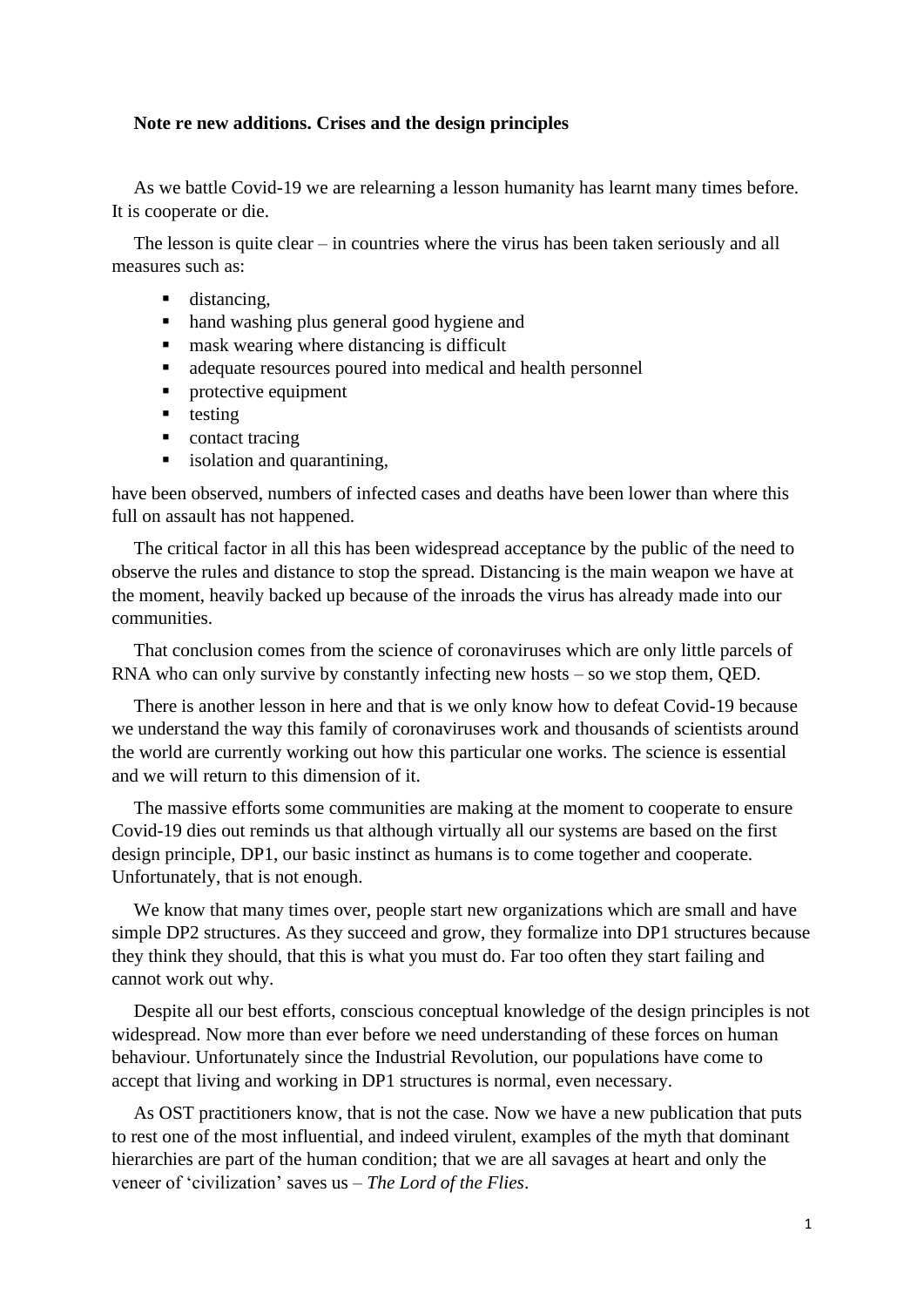## **Note re new additions. Crises and the design principles**

As we battle Covid-19 we are relearning a lesson humanity has learnt many times before. It is cooperate or die.

The lesson is quite clear – in countries where the virus has been taken seriously and all measures such as:

- distancing.
- hand washing plus general good hygiene and
- mask wearing where distancing is difficult
- adequate resources poured into medical and health personnel
- **•** protective equipment
- testing
- contact tracing
- isolation and quarantining,

have been observed, numbers of infected cases and deaths have been lower than where this full on assault has not happened.

The critical factor in all this has been widespread acceptance by the public of the need to observe the rules and distance to stop the spread. Distancing is the main weapon we have at the moment, heavily backed up because of the inroads the virus has already made into our communities.

That conclusion comes from the science of coronaviruses which are only little parcels of RNA who can only survive by constantly infecting new hosts – so we stop them, QED.

There is another lesson in here and that is we only know how to defeat Covid-19 because we understand the way this family of coronaviruses work and thousands of scientists around the world are currently working out how this particular one works. The science is essential and we will return to this dimension of it.

The massive efforts some communities are making at the moment to cooperate to ensure Covid-19 dies out reminds us that although virtually all our systems are based on the first design principle, DP1, our basic instinct as humans is to come together and cooperate. Unfortunately, that is not enough.

We know that many times over, people start new organizations which are small and have simple DP2 structures. As they succeed and grow, they formalize into DP1 structures because they think they should, that this is what you must do. Far too often they start failing and cannot work out why.

Despite all our best efforts, conscious conceptual knowledge of the design principles is not widespread. Now more than ever before we need understanding of these forces on human behaviour. Unfortunately since the Industrial Revolution, our populations have come to accept that living and working in DP1 structures is normal, even necessary.

As OST practitioners know, that is not the case. Now we have a new publication that puts to rest one of the most influential, and indeed virulent, examples of the myth that dominant hierarchies are part of the human condition; that we are all savages at heart and only the veneer of 'civilization' saves us – *The Lord of the Flies*.